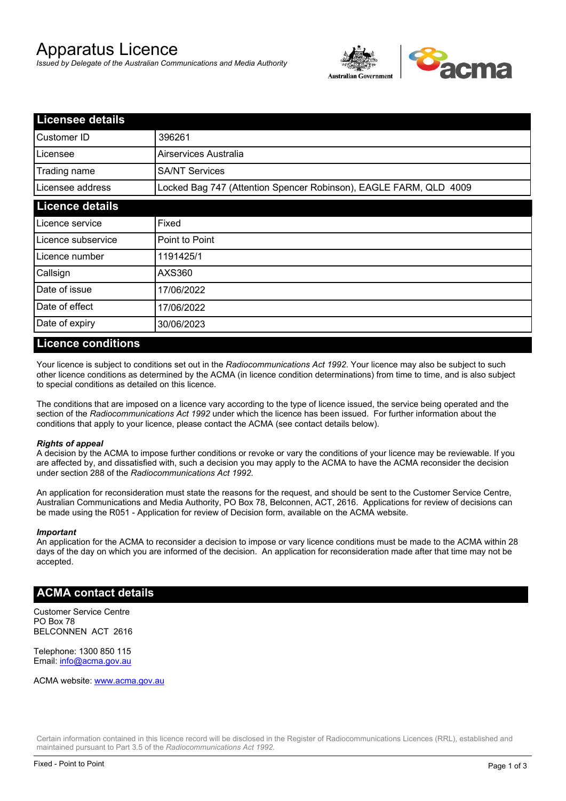# Apparatus Licence

*Issued by Delegate of the Australian Communications and Media Authority*



| <b>Licensee details</b> |                                                                   |  |
|-------------------------|-------------------------------------------------------------------|--|
| Customer ID             | 396261                                                            |  |
| Licensee                | Airservices Australia                                             |  |
| Trading name            | <b>SA/NT Services</b>                                             |  |
| Licensee address        | Locked Bag 747 (Attention Spencer Robinson), EAGLE FARM, QLD 4009 |  |
| <b>Licence details</b>  |                                                                   |  |
| Licence service         | Fixed                                                             |  |
| Licence subservice      | Point to Point                                                    |  |
| Licence number          | 1191425/1                                                         |  |
| Callsign                | AXS360                                                            |  |
| Date of issue           | 17/06/2022                                                        |  |
| Date of effect          | 17/06/2022                                                        |  |
| Date of expiry          | 30/06/2023                                                        |  |

#### **Licence conditions**

Your licence is subject to conditions set out in the *Radiocommunications Act 1992*. Your licence may also be subject to such other licence conditions as determined by the ACMA (in licence condition determinations) from time to time, and is also subject to special conditions as detailed on this licence.

The conditions that are imposed on a licence vary according to the type of licence issued, the service being operated and the section of the *Radiocommunications Act 1992* under which the licence has been issued. For further information about the conditions that apply to your licence, please contact the ACMA (see contact details below).

#### *Rights of appeal*

A decision by the ACMA to impose further conditions or revoke or vary the conditions of your licence may be reviewable. If you are affected by, and dissatisfied with, such a decision you may apply to the ACMA to have the ACMA reconsider the decision under section 288 of the *Radiocommunications Act 1992*.

An application for reconsideration must state the reasons for the request, and should be sent to the Customer Service Centre, Australian Communications and Media Authority, PO Box 78, Belconnen, ACT, 2616. Applications for review of decisions can be made using the R051 - Application for review of Decision form, available on the ACMA website.

#### *Important*

An application for the ACMA to reconsider a decision to impose or vary licence conditions must be made to the ACMA within 28 days of the day on which you are informed of the decision. An application for reconsideration made after that time may not be accepted.

#### **ACMA contact details**

Customer Service Centre PO Box 78 BELCONNEN ACT 2616

Telephone: 1300 850 115 Email: info@acma.gov.au

ACMA website: www.acma.gov.au

Certain information contained in this licence record will be disclosed in the Register of Radiocommunications Licences (RRL), established and maintained pursuant to Part 3.5 of the *Radiocommunications Act 1992.*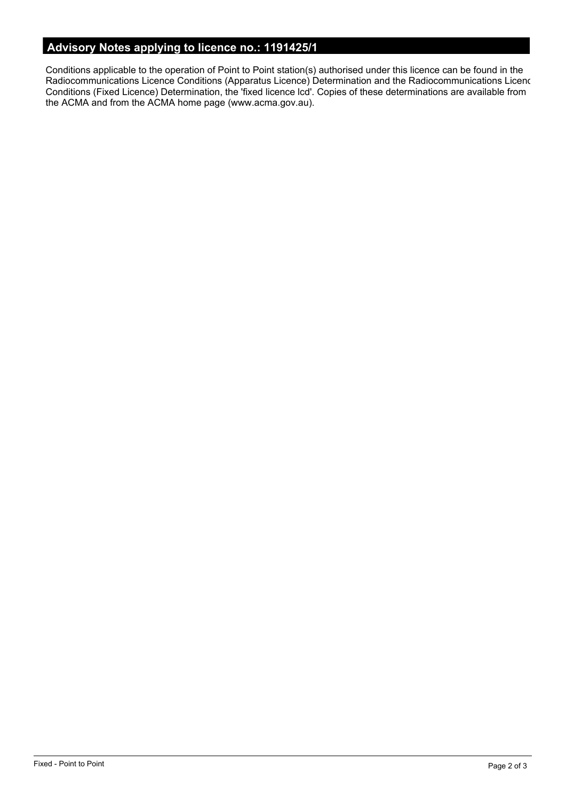# **Advisory Notes applying to licence no.: 1191425/1**

Conditions applicable to the operation of Point to Point station(s) authorised under this licence can be found in the Radiocommunications Licence Conditions (Apparatus Licence) Determination and the Radiocommunications Licence Conditions (Fixed Licence) Determination, the 'fixed licence lcd'. Copies of these determinations are available from the ACMA and from the ACMA home page (www.acma.gov.au).